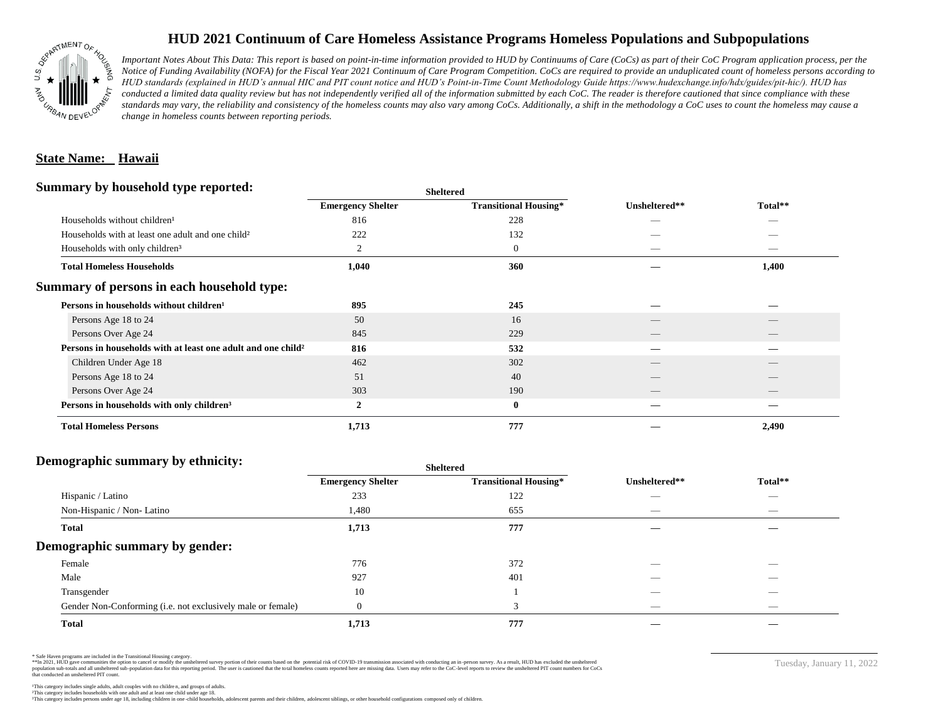

# **HUD 2021 Continuum of Care Homeless Assistance Programs Homeless Populations and Subpopulations**

*Important Notes About This Data: This report is based on point-in-time information provided to HUD by Continuums of Care (CoCs) as part of their CoC Program application process, per the Notice of Funding Availability (NOFA) for the Fiscal Year 2021 Continuum of Care Program Competition. CoCs are required to provide an unduplicated count of homeless persons according to HUD standards (explained in HUD's annual HIC and PIT count notice and HUD's Point-in-Time Count Methodology Guide https://www.hudexchange.info/hdx/guides/pit-hic/). HUD has*  conducted a limited data quality review but has not independently verified all of the information submitted by each CoC. The reader is therefore cautioned that since compliance with these standards may vary, the reliability and consistency of the homeless counts may also vary among CoCs. Additionally, a shift in the methodology a CoC uses to count the homeless may cause a *change in homeless counts between reporting periods.*

#### **State Name: Hawaii**

#### **Summary by household type reported:**

|                                                                          |                          | patter                       |               |         |  |
|--------------------------------------------------------------------------|--------------------------|------------------------------|---------------|---------|--|
|                                                                          | <b>Emergency Shelter</b> | <b>Transitional Housing*</b> | Unsheltered** | Total** |  |
| Households without children <sup>1</sup>                                 | 816                      | 228                          |               | _       |  |
| Households with at least one adult and one child <sup>2</sup>            | 222                      | 132                          |               |         |  |
| Households with only children <sup>3</sup>                               | 2                        | $\theta$                     |               |         |  |
| <b>Total Homeless Households</b>                                         | 1,040                    | 360                          |               | 1,400   |  |
| Summary of persons in each household type:                               |                          |                              |               |         |  |
| Persons in households without children <sup>1</sup>                      | 895                      | 245                          |               |         |  |
| Persons Age 18 to 24                                                     | 50                       | 16                           |               |         |  |
| Persons Over Age 24                                                      | 845                      | 229                          | __            | __      |  |
| Persons in households with at least one adult and one child <sup>2</sup> | 816                      | 532                          |               |         |  |
| Children Under Age 18                                                    | 462                      | 302                          |               |         |  |
| Persons Age 18 to 24                                                     | 51                       | 40                           |               |         |  |
| Persons Over Age 24                                                      | 303                      | 190                          |               |         |  |
| Persons in households with only children <sup>3</sup>                    | $\mathbf{2}$             | $\bf{0}$                     |               |         |  |
| <b>Total Homeless Persons</b>                                            | 1,713                    | 777                          |               | 2,490   |  |
|                                                                          |                          |                              |               |         |  |

**Sheltered**

## **Demographic summary by ethnicity:**

|                                                             | <b>Sheltered</b>         |                              |                          |                          |  |
|-------------------------------------------------------------|--------------------------|------------------------------|--------------------------|--------------------------|--|
|                                                             | <b>Emergency Shelter</b> | <b>Transitional Housing*</b> | Unsheltered**            | Total**                  |  |
| Hispanic / Latino                                           | 233                      | 122                          |                          | $\overline{\phantom{a}}$ |  |
| Non-Hispanic / Non-Latino                                   | 1,480                    | 655                          | __                       | $\overline{\phantom{a}}$ |  |
| <b>Total</b>                                                | 1,713                    | 777                          |                          |                          |  |
| Demographic summary by gender:                              |                          |                              |                          |                          |  |
| Female                                                      | 776                      | 372                          | _                        | _                        |  |
| Male                                                        | 927                      | 401                          |                          |                          |  |
| Transgender                                                 | 10                       |                              |                          |                          |  |
| Gender Non-Conforming (i.e. not exclusively male or female) |                          | 3                            | $\overline{\phantom{a}}$ | $\overline{\phantom{a}}$ |  |
| <b>Total</b>                                                | 1,713                    | 777                          |                          |                          |  |

\* Safe Haven programs are included in the Transitional Housing category.

\*\*In 2021, HUD gave communities the option to cancel or modify the unsheltered survey portion of their counts based on the potential risk of COVID-19 transmission associated with conducting an in-person survey. As a result n political data for this reporting period. The user is cautioned that the total homeless counts reported here are missing data. Users may refer to the CoC-level reports to review the unshellered PIT count numbers for CoCs that conducted an unsheltered PIT count.

Tuesday, January 11, 2022